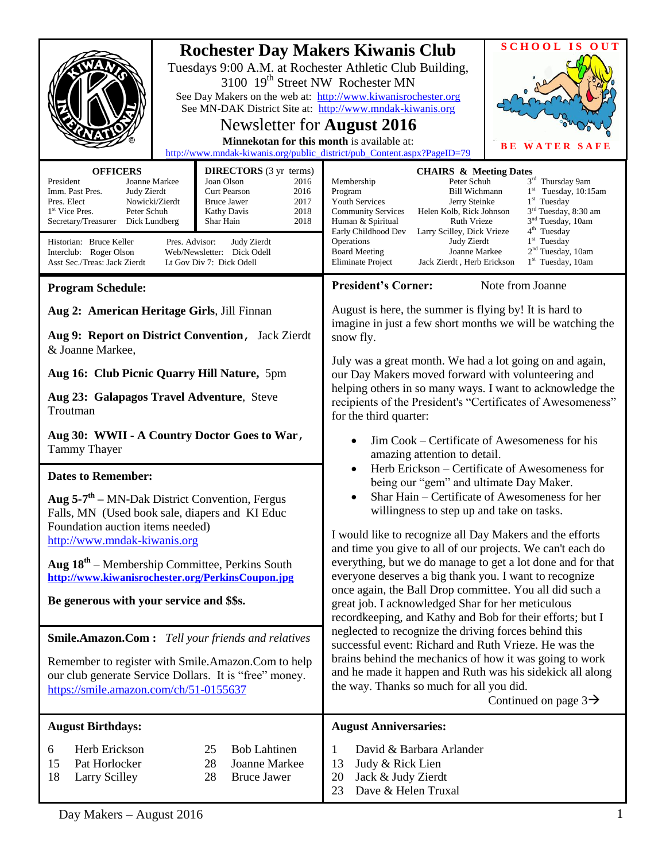| <b>OFFICERS</b>                                                                                                                                                                                                                                                                           | 3100 19 <sup>th</sup> Street NW Rochester MN<br>Newsletter for <b>August</b> 2016<br>Minnekotan for this month is available at:<br><b>DIRECTORS</b> (3 yr terms)                                     | <b>SCHOOL IS OUT</b><br><b>Rochester Day Makers Kiwanis Club</b><br>Tuesdays 9:00 A.M. at Rochester Athletic Club Building,<br>See Day Makers on the web at: http://www.kiwanisrochester.org<br>See MN-DAK District Site at: http://www.mndak-kiwanis.org<br><b>WATER SAFE</b><br>http://www.mndak-kiwanis.org/public_district/pub_Content.aspx?PageID=79<br><b>CHAIRS &amp; Meeting Dates</b>                                                                                                                                                                                                                                   |  |
|-------------------------------------------------------------------------------------------------------------------------------------------------------------------------------------------------------------------------------------------------------------------------------------------|------------------------------------------------------------------------------------------------------------------------------------------------------------------------------------------------------|----------------------------------------------------------------------------------------------------------------------------------------------------------------------------------------------------------------------------------------------------------------------------------------------------------------------------------------------------------------------------------------------------------------------------------------------------------------------------------------------------------------------------------------------------------------------------------------------------------------------------------|--|
| President<br>Joanne Markee<br>Imm. Past Pres.<br>Judy Zierdt<br>Pres. Elect<br>Nowicki/Zierdt<br>1 <sup>st</sup> Vice Pres.<br>Peter Schuh<br>Secretary/Treasurer<br>Dick Lundberg<br>Historian: Bruce Keller<br>Pres. Advisor:<br>Interclub: Roger Olson<br>Asst Sec./Treas: Jack Zierdt | Joan Olson<br>2016<br><b>Curt Pearson</b><br>2016<br>2017<br><b>Bruce Jawer</b><br>2018<br>Kathy Davis<br>2018<br>Shar Hain<br>Judy Zierdt<br>Web/Newsletter: Dick Odell<br>Lt Gov Div 7: Dick Odell | 3rd Thursday 9am<br>Peter Schuh<br>Membership<br>$1st$ Tuesday, 10:15am<br>Program<br><b>Bill Wichmann</b><br>$1st$ Tuesday<br><b>Youth Services</b><br>Jerry Steinke<br>3 <sup>rd</sup> Tuesday, 8:30 am<br><b>Community Services</b><br>Helen Kolb, Rick Johnson<br>3 <sup>nd</sup> Tuesday, 10am<br>Human & Spiritual<br>Ruth Vrieze<br>4 <sup>th</sup> Tuesday<br>Early Childhood Dev<br>Larry Scilley, Dick Vrieze<br>$1st$ Tuesday<br>Operations<br>Judy Zierdt<br>2 <sup>nd</sup> Tuesday, 10am<br><b>Board Meeting</b><br>Joanne Markee<br>Jack Zierdt, Herb Erickson<br>$1st$ Tuesday, 10am<br><b>Eliminate Project</b> |  |
| <b>Program Schedule:</b>                                                                                                                                                                                                                                                                  |                                                                                                                                                                                                      | <b>President's Corner:</b><br>Note from Joanne                                                                                                                                                                                                                                                                                                                                                                                                                                                                                                                                                                                   |  |
| Aug 2: American Heritage Girls, Jill Finnan<br>Aug 9: Report on District Convention, Jack Zierdt<br>& Joanne Markee,                                                                                                                                                                      |                                                                                                                                                                                                      | August is here, the summer is flying by! It is hard to<br>imagine in just a few short months we will be watching the<br>snow fly.                                                                                                                                                                                                                                                                                                                                                                                                                                                                                                |  |
| Aug 16: Club Picnic Quarry Hill Nature, 5pm<br>Aug 23: Galapagos Travel Adventure, Steve<br>Troutman                                                                                                                                                                                      |                                                                                                                                                                                                      | July was a great month. We had a lot going on and again,<br>our Day Makers moved forward with volunteering and<br>helping others in so many ways. I want to acknowledge the<br>recipients of the President's "Certificates of Awesomeness"<br>for the third quarter:                                                                                                                                                                                                                                                                                                                                                             |  |
| Aug 30: WWII - A Country Doctor Goes to War,<br><b>Tammy Thayer</b>                                                                                                                                                                                                                       |                                                                                                                                                                                                      | Jim Cook – Certificate of Awesomeness for his<br>$\bullet$<br>amazing attention to detail.<br>Herb Erickson – Certificate of Awesomeness for<br>being our "gem" and ultimate Day Maker.<br>Shar Hain – Certificate of Awesomeness for her<br>willingness to step up and take on tasks.                                                                                                                                                                                                                                                                                                                                           |  |
| <b>Dates to Remember:</b><br>Aug $5-7$ <sup>th</sup> – MN-Dak District Convention, Fergus<br>Falls, MN (Used book sale, diapers and KI Educ<br>Foundation auction items needed)                                                                                                           |                                                                                                                                                                                                      |                                                                                                                                                                                                                                                                                                                                                                                                                                                                                                                                                                                                                                  |  |
| http://www.mndak-kiwanis.org<br>Aug $18th$ – Membership Committee, Perkins South                                                                                                                                                                                                          |                                                                                                                                                                                                      | I would like to recognize all Day Makers and the efforts<br>and time you give to all of our projects. We can't each do<br>everything, but we do manage to get a lot done and for that<br>everyone deserves a big thank you. I want to recognize                                                                                                                                                                                                                                                                                                                                                                                  |  |
| http://www.kiwanisrochester.org/PerkinsCoupon.jpg<br>Be generous with your service and \$\$s.                                                                                                                                                                                             |                                                                                                                                                                                                      | once again, the Ball Drop committee. You all did such a<br>great job. I acknowledged Shar for her meticulous<br>recordkeeping, and Kathy and Bob for their efforts; but I                                                                                                                                                                                                                                                                                                                                                                                                                                                        |  |
| <b>Smile.Amazon.Com:</b> Tell your friends and relatives<br>Remember to register with Smile.Amazon.Com to help<br>our club generate Service Dollars. It is "free" money.<br>https://smile.amazon.com/ch/51-0155637                                                                        |                                                                                                                                                                                                      | neglected to recognize the driving forces behind this<br>successful event: Richard and Ruth Vrieze. He was the<br>brains behind the mechanics of how it was going to work<br>and he made it happen and Ruth was his sidekick all along<br>the way. Thanks so much for all you did.<br>Continued on page $3\rightarrow$                                                                                                                                                                                                                                                                                                           |  |
| <b>August Birthdays:</b>                                                                                                                                                                                                                                                                  |                                                                                                                                                                                                      | <b>August Anniversaries:</b>                                                                                                                                                                                                                                                                                                                                                                                                                                                                                                                                                                                                     |  |
| Herb Erickson<br>6<br>15<br>Pat Horlocker<br>18<br><b>Larry Scilley</b>                                                                                                                                                                                                                   | 25<br><b>Bob Lahtinen</b><br>28<br>Joanne Markee<br>28<br><b>Bruce Jawer</b>                                                                                                                         | David & Barbara Arlander<br>1<br>Judy & Rick Lien<br>13<br>Jack & Judy Zierdt<br>20<br>Dave & Helen Truxal<br>23                                                                                                                                                                                                                                                                                                                                                                                                                                                                                                                 |  |
| Day Makers - August 2016                                                                                                                                                                                                                                                                  |                                                                                                                                                                                                      |                                                                                                                                                                                                                                                                                                                                                                                                                                                                                                                                                                                                                                  |  |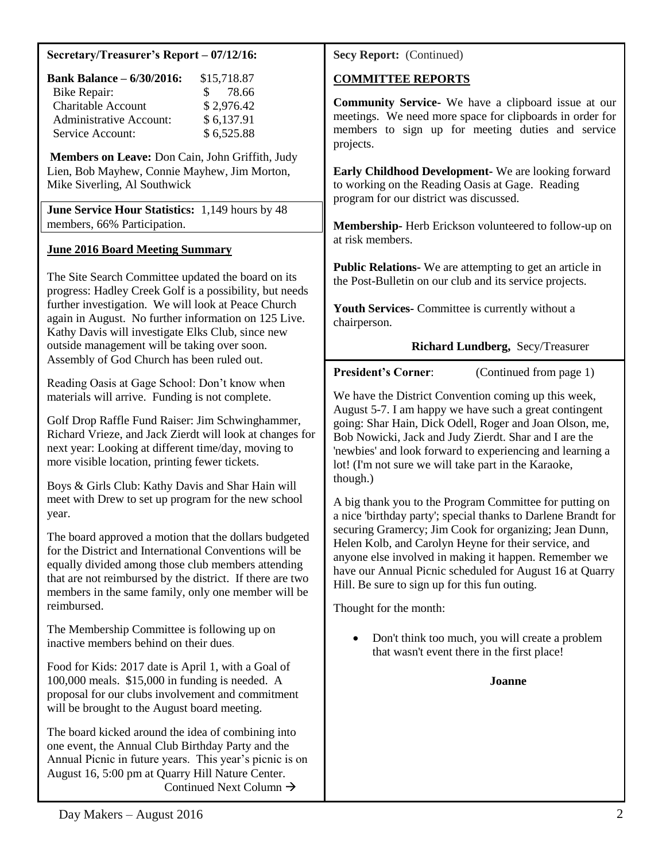## **Secretary/Treasurer's Report – 07/12/16:**

| <b>Bank Balance - 6/30/2016:</b> | \$15,718.87            |
|----------------------------------|------------------------|
| <b>Bike Repair:</b>              | 78.66<br>$\mathcal{S}$ |
| <b>Charitable Account</b>        | \$2,976.42             |
| <b>Administrative Account:</b>   | \$6,137.91             |
| Service Account:                 | \$6,525.88             |

**Members on Leave:** Don Cain, John Griffith, Judy Lien, Bob Mayhew, Connie Mayhew, Jim Morton, Mike Siverling, Al Southwick

**June Service Hour Statistics:** 1,149 hours by 48 members, 66% Participation.

## **June 2016 Board Meeting Summary**

The Site Search Committee updated the board on its progress: Hadley Creek Golf is a possibility, but needs further investigation. We will look at Peace Church again in August. No further information on 125 Live. Kathy Davis will investigate Elks Club, since new outside management will be taking over soon. Assembly of God Church has been ruled out.

Reading Oasis at Gage School: Don't know when materials will arrive. Funding is not complete.

Golf Drop Raffle Fund Raiser: Jim Schwinghammer, Richard Vrieze, and Jack Zierdt will look at changes for next year: Looking at different time/day, moving to more visible location, printing fewer tickets.

Boys & Girls Club: Kathy Davis and Shar Hain will meet with Drew to set up program for the new school year.

The board approved a motion that the dollars budgeted for the District and International Conventions will be equally divided among those club members attending that are not reimbursed by the district. If there are two members in the same family, only one member will be reimbursed.

The Membership Committee is following up on inactive members behind on their dues.

Food for Kids: 2017 date is April 1, with a Goal of 100,000 meals. \$15,000 in funding is needed. A proposal for our clubs involvement and commitment will be brought to the August board meeting.

The board kicked around the idea of combining into one event, the Annual Club Birthday Party and the Annual Picnic in future years. This year's picnic is on August 16, 5:00 pm at Quarry Hill Nature Center. Continued Next Column  $\rightarrow$ 

**Secy Report:** (Continued)

## **COMMITTEE REPORTS**

**Community Service-** We have a clipboard issue at our meetings. We need more space for clipboards in order for members to sign up for meeting duties and service projects.

**Early Childhood Development-** We are looking forward to working on the Reading Oasis at Gage. Reading program for our district was discussed.

**Membership-** Herb Erickson volunteered to follow-up on at risk members.

**Public Relations-** We are attempting to get an article in the Post-Bulletin on our club and its service projects.

**Youth Services-** Committee is currently without a chairperson.

## **Richard Lundberg,** Secy/Treasurer

**President's Corner:** (Continued from page 1)

We have the District Convention coming up this week, August 5-7. I am happy we have such a great contingent going: Shar Hain, Dick Odell, Roger and Joan Olson, me, Bob Nowicki, Jack and Judy Zierdt. Shar and I are the 'newbies' and look forward to experiencing and learning a lot! (I'm not sure we will take part in the Karaoke, though.)

A big thank you to the Program Committee for putting on a nice 'birthday party'; special thanks to Darlene Brandt for securing Gramercy; Jim Cook for organizing; Jean Dunn, Helen Kolb, and Carolyn Heyne for their service, and anyone else involved in making it happen. Remember we have our Annual Picnic scheduled for August 16 at Quarry Hill. Be sure to sign up for this fun outing.

Thought for the month:

 Don't think too much, you will create a problem that wasn't event there in the first place!

**Joanne**